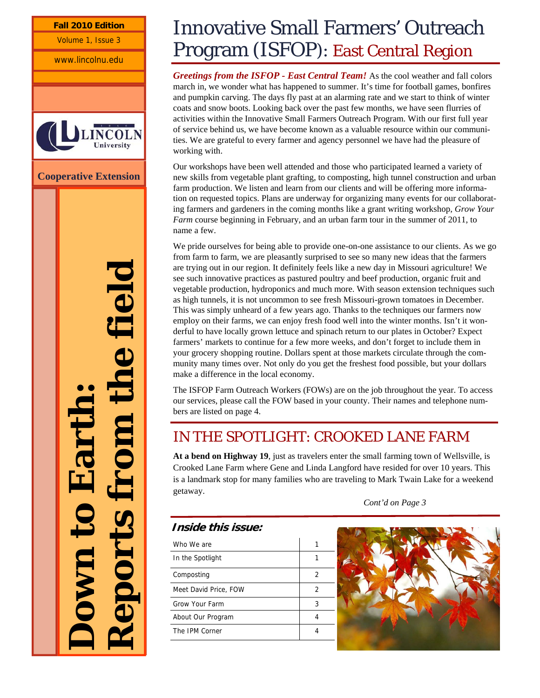**Fall 2010 Edition** 

Volume 1, Issue 3

www.lincolnu.edu



**Cooperative Extension** 

**Down to Earth: Reports from the field** 

# Innovative Small Farmers' Outreach Program (ISFOP): East Central Region

*Greetings from the ISFOP - East Central Team!* As the cool weather and fall colors march in, we wonder what has happened to summer. It's time for football games, bonfires and pumpkin carving. The days fly past at an alarming rate and we start to think of winter coats and snow boots. Looking back over the past few months, we have seen flurries of activities within the Innovative Small Farmers Outreach Program. With our first full year of service behind us, we have become known as a valuable resource within our communities. We are grateful to every farmer and agency personnel we have had the pleasure of working with.

Our workshops have been well attended and those who participated learned a variety of new skills from vegetable plant grafting, to composting, high tunnel construction and urban farm production. We listen and learn from our clients and will be offering more information on requested topics. Plans are underway for organizing many events for our collaborating farmers and gardeners in the coming months like a grant writing workshop, *Grow Your Farm* course beginning in February, and an urban farm tour in the summer of 2011, to name a few.

We pride ourselves for being able to provide one-on-one assistance to our clients. As we go from farm to farm, we are pleasantly surprised to see so many new ideas that the farmers are trying out in our region. It definitely feels like a new day in Missouri agriculture! We see such innovative practices as pastured poultry and beef production, organic fruit and vegetable production, hydroponics and much more. With season extension techniques such as high tunnels, it is not uncommon to see fresh Missouri-grown tomatoes in December. This was simply unheard of a few years ago. Thanks to the techniques our farmers now employ on their farms, we can enjoy fresh food well into the winter months. Isn't it wonderful to have locally grown lettuce and spinach return to our plates in October? Expect farmers' markets to continue for a few more weeks, and don't forget to include them in your grocery shopping routine. Dollars spent at those markets circulate through the community many times over. Not only do you get the freshest food possible, but your dollars make a difference in the local economy.

The ISFOP Farm Outreach Workers (FOWs) are on the job throughout the year. To access our services, please call the FOW based in your county. Their names and telephone numbers are listed on page 4.

## IN THE SPOTLIGHT: CROOKED LANE FARM

**At a bend on Highway 19**, just as travelers enter the small farming town of Wellsville, is Crooked Lane Farm where Gene and Linda Langford have resided for over 10 years. This is a landmark stop for many families who are traveling to Mark Twain Lake for a weekend getaway.

*Cont'd on Page 3* 

## **Inside this issue:**

Who We are 1 and 1 and 1 and 1 and 1 and 1 and 1 and 1 and 1 and 1 and 1 and 1 and 1 and 1 and 1 and 1 and 1 and 1 and 1 and 1 and 1 and 1 and 1 and 1 and 1 and 1 and 1 and 1 and 1 and 1 and 1 and 1 and 1 and 1 and 1 and 1 In the Spotlight 1 and 1 and 1 Composting 2 Meet David Price, FOW 2 Grow Your Farm 3 About Our Program 4 The IPM Corner 4

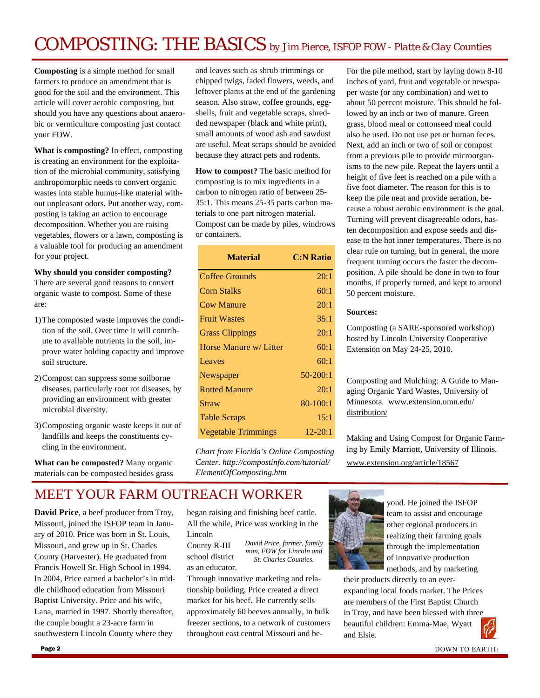# COMPOSTING: THE BASICS *by Jim Pierce, ISFOP FOW - Platte & Clay Counties*

**Composting** is a simple method for small farmers to produce an amendment that is good for the soil and the environment. This article will cover aerobic composting, but should you have any questions about anaerobic or vermiculture composting just contact your FOW.

**What is composting?** In effect, composting is creating an environment for the exploitation of the microbial community, satisfying anthropomorphic needs to convert organic wastes into stable humus-like material without unpleasant odors. Put another way, composting is taking an action to encourage decomposition. Whether you are raising vegetables, flowers or a lawn, composting is a valuable tool for producing an amendment for your project.

#### **Why should you consider composting?**

There are several good reasons to convert organic waste to compost. Some of these are:

- 1) The composted waste improves the condition of the soil. Over time it will contribute to available nutrients in the soil, improve water holding capacity and improve soil structure.
- 2) Compost can suppress some soilborne diseases, particularly root rot diseases, by providing an environment with greater microbial diversity.
- 3) Composting organic waste keeps it out of landfills and keeps the constituents cycling in the environment.

**What can be composted?** Many organic materials can be composted besides grass

and leaves such as shrub trimmings or chipped twigs, faded flowers, weeds, and leftover plants at the end of the gardening season. Also straw, coffee grounds, eggshells, fruit and vegetable scraps, shredded newspaper (black and white print), small amounts of wood ash and sawdust are useful. Meat scraps should be avoided because they attract pets and rodents.

**How to compost?** The basic method for composting is to mix ingredients in a carbon to nitrogen ratio of between 25- 35:1. This means 25-35 parts carbon materials to one part nitrogen material. Compost can be made by piles, windrows or containers.

| <b>Material</b>        | <b>C:N Ratio</b> |
|------------------------|------------------|
| Coffee Grounds         | 20:1             |
| <b>Corn Stalks</b>     | 60:1             |
| <b>Cow Manure</b>      | 20:1             |
| <b>Fruit Wastes</b>    | 35:1             |
| <b>Grass Clippings</b> | 20:1             |
| Horse Manure w/ Litter | 60:1             |
| Leaves                 | 60:1             |
| Newspaper              | $50-200:1$       |
| <b>Rotted Manure</b>   | 20:1             |
| Straw                  | 80-100:1         |
| <b>Table Scraps</b>    | 15:1             |
| Vegetable Trimmings    | 12-20:1          |

*Chart from Florida's Online Composting Center. http://compostinfo.com/tutorial/ ElementOfComposting.htm* 

For the pile method, start by laying down 8-10 inches of yard, fruit and vegetable or newspaper waste (or any combination) and wet to about 50 percent moisture. This should be followed by an inch or two of manure. Green grass, blood meal or cottonseed meal could also be used. Do not use pet or human feces. Next, add an inch or two of soil or compost from a previous pile to provide microorganisms to the new pile. Repeat the layers until a height of five feet is reached on a pile with a five foot diameter. The reason for this is to keep the pile neat and provide aeration, because a robust aerobic environment is the goal. Turning will prevent disagreeable odors, hasten decomposition and expose seeds and disease to the hot inner temperatures. There is no clear rule on turning, but in general, the more frequent turning occurs the faster the decomposition. A pile should be done in two to four months, if properly turned, and kept to around 50 percent moisture.

#### **Sources:**

Composting (a SARE-sponsored workshop) hosted by Lincoln University Cooperative Extension on May 24-25, 2010.

Composting and Mulching: A Guide to Managing Organic Yard Wastes, University of Minnesota. www.extension.umn.edu/ distribution/

Making and Using Compost for Organic Farming by Emily Marriott, University of Illinois. www.extension.org/article/18567

## MEET YOUR FARM OUTREACH WORKER

**David Price**, a beef producer from Troy, Missouri, joined the ISFOP team in January of 2010. Price was born in St. Louis, Missouri, and grew up in St. Charles County (Harvester). He graduated from Francis Howell Sr. High School in 1994. In 2004, Price earned a bachelor's in middle childhood education from Missouri Baptist University. Price and his wife, Lana, married in 1997. Shortly thereafter, the couple bought a 23-acre farm in southwestern Lincoln County where they

began raising and finishing beef cattle. All the while, Price was working in the Lincoln

County R-III school district as an educator. *David Price, farmer, family man, FOW for Lincoln and St. Charles Counties.* 

Through innovative marketing and relationship building, Price created a direct market for his beef. He currently sells approximately 60 beeves annually, in bulk freezer sections, to a network of customers throughout east central Missouri and be-



yond. He joined the ISFOP team to assist and encourage other regional producers in realizing their farming goals through the implementation of innovative production methods, and by marketing

their products directly to an everexpanding local foods market. The Prices are members of the First Baptist Church in Troy, and have been blessed with three beautiful children: Emma-Mae, Wyatt and Elsie.

DOWN TO EARTH: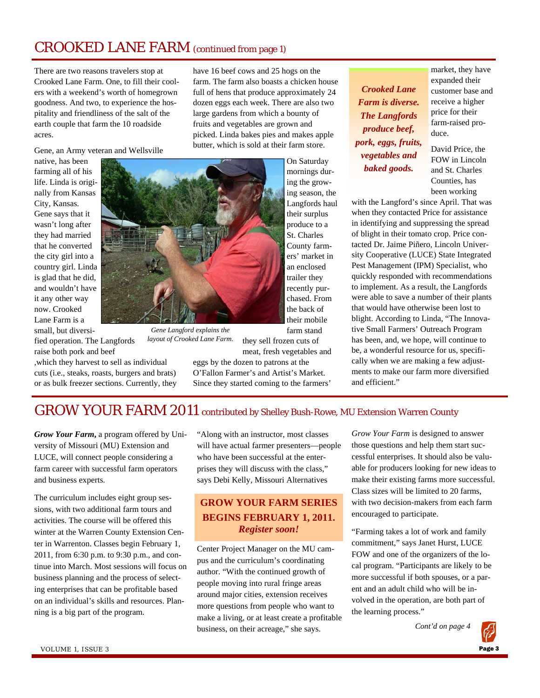## CROOKED LANE FARM (continued from page 1)

There are two reasons travelers stop at Crooked Lane Farm. One, to fill their coolers with a weekend's worth of homegrown goodness. And two, to experience the hospitality and friendliness of the salt of the earth couple that farm the 10 roadside acres.

Gene, an Army veteran and Wellsville

native, has been farming all of his life. Linda is originally from Kansas City, Kansas. Gene says that it wasn't long after they had married that he converted the city girl into a country girl. Linda is glad that he did, and wouldn't have it any other way now. Crooked Lane Farm is a small, but diversi-

fied operation. The Langfords raise both pork and beef

,which they harvest to sell as individual cuts (i.e., steaks, roasts, burgers and brats) or as bulk freezer sections. Currently, they have 16 beef cows and 25 hogs on the farm. The farm also boasts a chicken house full of hens that produce approximately 24 dozen eggs each week. There are also two large gardens from which a bounty of fruits and vegetables are grown and picked. Linda bakes pies and makes apple butter, which is sold at their farm store.

> On Saturday mornings during the growing season, the Langfords haul their surplus produce to a St. Charles County farmers' market in an enclosed trailer they recently purchased. From the back of their mobile farm stand

they sell frozen cuts of *Gene Langford explains the layout of Crooked Lane Farm.* 

meat, fresh vegetables and eggs by the dozen to patrons at the O'Fallon Farmer's and Artist's Market. Since they started coming to the farmers'

*Crooked Lane Farm is diverse. The Langfords produce beef, pork, eggs, fruits, vegetables and baked goods.* 

market, they have expanded their customer base and receive a higher price for their farm-raised produce.

David Price, the FOW in Lincoln and St. Charles Counties, has been working

with the Langford's since April. That was when they contacted Price for assistance in identifying and suppressing the spread of blight in their tomato crop. Price contacted Dr. Jaime Piñero, Lincoln University Cooperative (LUCE) State Integrated Pest Management (IPM) Specialist, who quickly responded with recommendations to implement. As a result, the Langfords were able to save a number of their plants that would have otherwise been lost to blight. According to Linda, "The Innovative Small Farmers' Outreach Program has been, and, we hope, will continue to be, a wonderful resource for us, specifically when we are making a few adjustments to make our farm more diversified and efficient."

## GROW YOUR FARM 2011 contributed by Shelley Bush-Rowe, MU Extension Warren County

*Grow Your Farm***,** a program offered by University of Missouri (MU) Extension and LUCE, will connect people considering a farm career with successful farm operators and business experts.

The curriculum includes eight group sessions, with two additional farm tours and activities. The course will be offered this winter at the Warren County Extension Center in Warrenton. Classes begin February 1, 2011, from 6:30 p.m. to 9:30 p.m., and continue into March. Most sessions will focus on business planning and the process of selecting enterprises that can be profitable based on an individual's skills and resources. Planning is a big part of the program.

"Along with an instructor, most classes will have actual farmer presenters—people who have been successful at the enterprises they will discuss with the class," says Debi Kelly, Missouri Alternatives

### **GROW YOUR FARM SERIES BEGINS FEBRUARY 1, 2011.**  *Register soon!*

Center Project Manager on the MU campus and the curriculum's coordinating author. "With the continued growth of people moving into rural fringe areas around major cities, extension receives more questions from people who want to make a living, or at least create a profitable business, on their acreage," she says.

*Grow Your Farm* is designed to answer those questions and help them start successful enterprises. It should also be valuable for producers looking for new ideas to make their existing farms more successful. Class sizes will be limited to 20 farms, with two decision-makers from each farm encouraged to participate.

"Farming takes a lot of work and family commitment," says Janet Hurst, LUCE FOW and one of the organizers of the local program. "Participants are likely to be more successful if both spouses, or a parent and an adult child who will be involved in the operation, are both part of the learning process."

 *Cont'd on page 4*